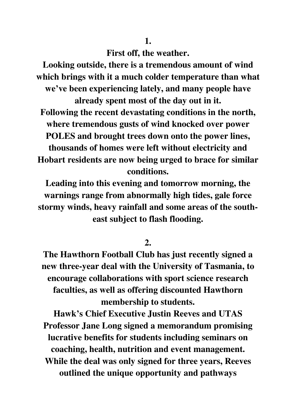**1.** 

**First off, the weather.** 

**Looking outside, there is a tremendous amount of wind which brings with it a much colder temperature than what we've been experiencing lately, and many people have already spent most of the day out in it. Following the recent devastating conditions in the north, where tremendous gusts of wind knocked over power POLES and brought trees down onto the power lines, thousands of homes were left without electricity and Hobart residents are now being urged to brace for similar conditions.** 

**Leading into this evening and tomorrow morning, the warnings range from abnormally high tides, gale force stormy winds, heavy rainfall and some areas of the southeast subject to flash flooding.** 

**2.** 

**The Hawthorn Football Club has just recently signed a new three-year deal with the University of Tasmania, to encourage collaborations with sport science research faculties, as well as offering discounted Hawthorn membership to students.** 

**Hawk's Chief Executive Justin Reeves and UTAS Professor Jane Long signed a memorandum promising lucrative benefits for students including seminars on coaching, health, nutrition and event management. While the deal was only signed for three years, Reeves outlined the unique opportunity and pathways**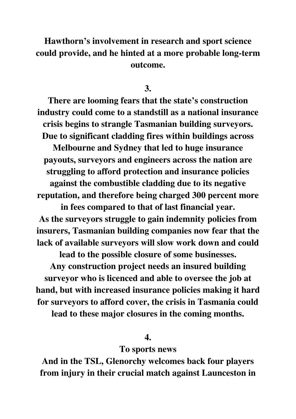## **Hawthorn's involvement in research and sport science could provide, and he hinted at a more probable long-term outcome.**

**3.** 

**There are looming fears that the state's construction industry could come to a standstill as a national insurance crisis begins to strangle Tasmanian building surveyors. Due to significant cladding fires within buildings across** 

**Melbourne and Sydney that led to huge insurance payouts, surveyors and engineers across the nation are struggling to afford protection and insurance policies against the combustible cladding due to its negative** 

**reputation, and therefore being charged 300 percent more in fees compared to that of last financial year.** 

**As the surveyors struggle to gain indemnity policies from insurers, Tasmanian building companies now fear that the lack of available surveyors will slow work down and could** 

**lead to the possible closure of some businesses.** 

**Any construction project needs an insured building surveyor who is licenced and able to oversee the job at hand, but with increased insurance policies making it hard for surveyors to afford cover, the crisis in Tasmania could lead to these major closures in the coming months.** 

## **4.**

## **To sports news**

**And in the TSL, Glenorchy welcomes back four players from injury in their crucial match against Launceston in**